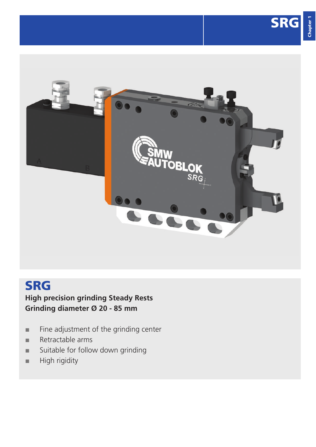Chapter 1

Chapter



## SRG

## **High precision grinding Steady Rests Grinding diameter Ø 20 - 85 mm**

- **■** Fine adjustment of the grinding center
- **■** Retractable arms
- **■** Suitable for follow down grinding
- **■** High rigidity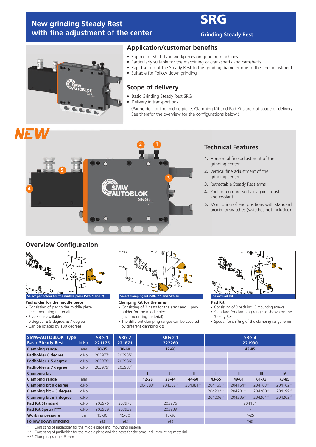## **New grinding Steady Rest**  with fine adjustment of the center

## SR

**Grinding Steady Rest**



## **Application/customer benefits**

- Support of shaft type workpieces on grinding machines<br>• Particularly suitable for the machining of crankshafts and
- Particularly suitable for the machining of crankshafts and camshafts
- Rapid set up of the Steady Rest to the grinding diameter due to the fine adjustment<br>• Suitable for Follow down grinding
- Suitable for Follow down grinding

## **Scope of delivery**

- Basic Grinding Steady Rest SRG
- Delivery in transport box (Padholder for the middle piece, Clamping Kit and Pad Kits are not scope of delivery. See therefor the overview for the configurations below.)

# NEW



## **Technical Features**

- **1.** Horizontal fine adjustment of the grinding center
- **2.** Vertical fine adjustment of the grinding center
- **3.** Retractable Steady Rest arms
- **4.** Port for compressed air against dust and coolant
- **5.** Monitoring of end positions with standard proximity switches (switches not included)

## **Overview Configuration**



### **Padholder for the middle piece**

- Consisting of padholder middle piece
- (incl. mounting material)
- 3 versions available:
- 0 degree,  $\pm$  5 degree,  $\pm$  7 degree
- Can be rotated by 180 degrees



### **Clamping Kit for the arms**

- Consisting of 2 nests for the arms and 1 padholder for the middle piece
- (incl. mounting material)
- The different clamping ranges can be covered by different clamping kits



### **Pad Kit**

- Consisting of 3 pads incl. 3 mounting screws<br>• Standard for clamping range as shown or
- Standard for clamping range as shown on the Steady Rest
- Special for shifting of the clamping range -5 mm

| <b>SMW-AUTOBLOK Type</b><br><b>Basic Steady Rest</b> | Id.No. | SRG <sub>1</sub><br>221175 | SRG <sub>2</sub><br>221871 | <b>SRG 2.1</b><br>222260 |            |          | SRG <sub>4</sub><br>221930 |          |          |           |
|------------------------------------------------------|--------|----------------------------|----------------------------|--------------------------|------------|----------|----------------------------|----------|----------|-----------|
| <b>Clamping range</b>                                | mm     | $20 - 35$                  | $30 - 60$                  |                          | $12 - 60$  |          | 43-85                      |          |          |           |
| Padholder 0 degree                                   | Id.No. | 203977*                    | 203985*                    |                          |            |          |                            |          |          |           |
| Padholder $\pm$ 5 degree                             | Id.No. | 203978*                    | 203986*                    |                          |            |          |                            |          |          |           |
| Padholder $\pm$ 7 degree                             | Id.No. | 203979*                    | 203987*                    |                          |            |          |                            |          |          |           |
| <b>Clamping kit</b>                                  |        |                            |                            |                          | Ш          | Ш        |                            | Ш        | Ш        | <b>IV</b> |
| <b>Clamping range</b>                                | mm     |                            |                            | $12 - 28$                | 28-44      | 44-60    | 43-55                      | 49-61    | 61-73    | 73-85     |
| <b>Clamping kit 0 degree</b>                         | Id.No. |                            |                            | 204383**                 | 204382**   | 204381** | 204165**                   | 204164** | 204163** | 204162**  |
| Clamping kit $\pm$ 5 degree                          | Id.No. |                            |                            |                          |            |          | 204202**                   | 204201** | 204200** | 204199**  |
| Clamping kit $\pm$ 7 degree                          | Id.No. |                            |                            |                          |            |          | 204206**                   | 204205** | 204204** | 204203**  |
| <b>Pad Kit Standard</b>                              | Id.No. | 203976                     | 203976                     |                          | 203976     |          | 204161                     |          |          |           |
| Pad Kit Special***                                   | Id.No. | 203939                     | 203939                     | 203939                   |            |          |                            |          |          |           |
| <b>Working pressure</b>                              | bar    | $15 - 30$                  | $15 - 30$                  | $15 - 30$<br>$7 - 25$    |            |          |                            |          |          |           |
| <b>Follow down grinding</b>                          |        | <b>Yes</b>                 | Yes                        |                          | <b>Yes</b> |          | Yes                        |          |          |           |

Consisting of padholder for the middle piece incl. mounting material

Consisting of padholder for the middle piece and the nests for the arms incl. mounting material

\*\*\* Clamping range -5 mm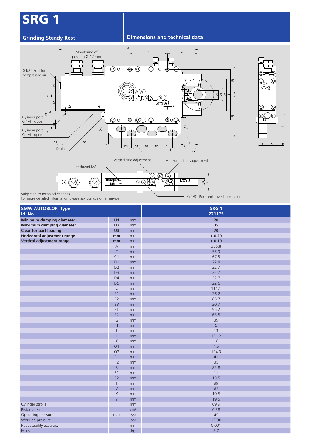# SRG 1

### **Grinding Steady Rest Dimensions and technical data**



| 5<br>ட<br>Cylinder port<br>G 1/4" open<br>O <sub>2</sub><br>01<br>$\mathsf{V}$<br>$\mathsf{C}$<br>D <sub>5</sub><br>D <sub>4</sub><br>D <sub>3</sub><br>D <sub>2</sub><br>D <sub>1</sub><br>Drain |                                  |                          |                                                                                                    |  |  |  |
|---------------------------------------------------------------------------------------------------------------------------------------------------------------------------------------------------|----------------------------------|--------------------------|----------------------------------------------------------------------------------------------------|--|--|--|
| Lift thread M8<br>⊚<br>$\odot$<br>Subjected to technical changes                                                                                                                                  | Transport                        | Vertical fine adjustment | Horizontal fine adjustment<br>$\circledcirc$<br>(ó)<br>(၀)<br>(\$<br><u>llar</u><br>oQ(≰i⊲<br>⊻¦়ত |  |  |  |
| For more detailed information please ask our customer service                                                                                                                                     |                                  |                          | G 1/8" Port centralized lubrication                                                                |  |  |  |
| <b>SMW-AUTOBLOK Type</b><br>Id. No.                                                                                                                                                               |                                  |                          | SRG <sub>1</sub><br>221175                                                                         |  |  |  |
| Minimum clamping diameter                                                                                                                                                                         | U1                               | mm                       | 20                                                                                                 |  |  |  |
| <b>Maximum clamping diameter</b>                                                                                                                                                                  | U <sub>2</sub>                   | mm                       | 35                                                                                                 |  |  |  |
| <b>Clear for part loading</b>                                                                                                                                                                     | U <sub>3</sub>                   | mm                       | 70                                                                                                 |  |  |  |
| Horizontal adjustment range                                                                                                                                                                       | mm                               | mm                       | $\pm$ 0.20                                                                                         |  |  |  |
| Vertical adjustment range                                                                                                                                                                         | mm                               | mm                       | ± 0.10                                                                                             |  |  |  |
|                                                                                                                                                                                                   | $\mathsf{A}$                     | mm                       | 306.8                                                                                              |  |  |  |
|                                                                                                                                                                                                   | $\mathsf C$                      | mm                       | 55.9                                                                                               |  |  |  |
|                                                                                                                                                                                                   | C1                               | mm                       | 67.5                                                                                               |  |  |  |
|                                                                                                                                                                                                   | D <sub>1</sub>                   | mm                       | 22.8                                                                                               |  |  |  |
|                                                                                                                                                                                                   | D <sub>2</sub>                   | mm                       | 22.7                                                                                               |  |  |  |
|                                                                                                                                                                                                   | D <sub>3</sub>                   | mm                       | 22.7                                                                                               |  |  |  |
|                                                                                                                                                                                                   | D <sub>4</sub>                   | mm                       | 22.7                                                                                               |  |  |  |
|                                                                                                                                                                                                   | D <sub>5</sub>                   | mm                       | 22.6                                                                                               |  |  |  |
|                                                                                                                                                                                                   | E                                | mm                       | 111.1                                                                                              |  |  |  |
|                                                                                                                                                                                                   | E1                               | mm                       | 76.2                                                                                               |  |  |  |
|                                                                                                                                                                                                   | E <sub>2</sub>                   | mm                       | 85.7                                                                                               |  |  |  |
|                                                                                                                                                                                                   | E3                               | mm                       | 20.7                                                                                               |  |  |  |
|                                                                                                                                                                                                   | F <sub>1</sub><br>F <sub>2</sub> | mm                       | 95.2<br>63.5                                                                                       |  |  |  |
|                                                                                                                                                                                                   | G                                | mm                       | 39                                                                                                 |  |  |  |
|                                                                                                                                                                                                   | H                                | mm<br>mm                 | 5                                                                                                  |  |  |  |
|                                                                                                                                                                                                   | $\overline{1}$                   | mm                       | 13                                                                                                 |  |  |  |
|                                                                                                                                                                                                   | Ī                                | mm                       | 121.2                                                                                              |  |  |  |
|                                                                                                                                                                                                   | $\mathsf K$                      | mm                       | 16                                                                                                 |  |  |  |
|                                                                                                                                                                                                   | O <sub>1</sub>                   | mm                       | 4.5                                                                                                |  |  |  |
|                                                                                                                                                                                                   | O <sub>2</sub>                   | mm                       | 104.3                                                                                              |  |  |  |
|                                                                                                                                                                                                   | P <sub>1</sub>                   | mm                       | 41                                                                                                 |  |  |  |
|                                                                                                                                                                                                   | P <sub>2</sub>                   | mm                       | 35                                                                                                 |  |  |  |
|                                                                                                                                                                                                   | ${\sf R}$                        | mm                       | 82.8                                                                                               |  |  |  |
|                                                                                                                                                                                                   | S1                               | mm                       | 11                                                                                                 |  |  |  |
|                                                                                                                                                                                                   | S <sub>2</sub>                   | $\mathsf{mm}$            | 13.5                                                                                               |  |  |  |
|                                                                                                                                                                                                   | $\top$                           | mm                       | 39                                                                                                 |  |  |  |
|                                                                                                                                                                                                   | $\overline{\vee}$                | $\mathsf{mm}$            | 37                                                                                                 |  |  |  |
|                                                                                                                                                                                                   | $\mathsf X$                      | mm                       | 19.5                                                                                               |  |  |  |
|                                                                                                                                                                                                   | Y                                | mm                       | 19.5                                                                                               |  |  |  |
| Cylinder stroke                                                                                                                                                                                   |                                  | mm                       | 69.9                                                                                               |  |  |  |
| Piston area                                                                                                                                                                                       |                                  | cm <sup>2</sup>          | 6.38                                                                                               |  |  |  |
| Operating pressure                                                                                                                                                                                | max                              | bar                      | 45                                                                                                 |  |  |  |
| Working pressure                                                                                                                                                                                  |                                  | bar                      | $15 - 30$                                                                                          |  |  |  |
| Repeatability accuracy                                                                                                                                                                            |                                  | mm                       | 0.001                                                                                              |  |  |  |
| Mass                                                                                                                                                                                              |                                  | kg                       | 8.7                                                                                                |  |  |  |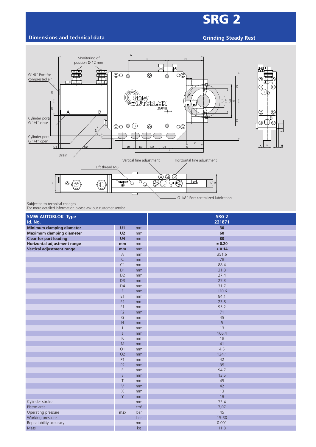## **Dimensions and technical data Grinding Steady Rest Grinding Steady Rest**

SRG 2

 $\overline{\phantom{a}}$ 

ര



Subjected to technical changes

For more detailed information please ask our customer service

| <b>SMW-AUTOBLOK Type</b><br>Id. No. |                |                 | SRG <sub>2</sub><br>221871 |  |  |
|-------------------------------------|----------------|-----------------|----------------------------|--|--|
| Minimum clamping diameter           | U <sub>1</sub> | mm              | 30                         |  |  |
| <b>Maximum clamping diameter</b>    | U <sub>2</sub> | mm              | 60                         |  |  |
| <b>Clear for part loading</b>       | U <sub>4</sub> | mm              | 80                         |  |  |
| Horizontal adjustment range         | mm             | mm              | ± 0.20                     |  |  |
| Vertical adjustment range           | mm             | mm              | ± 0.14                     |  |  |
|                                     | $\overline{A}$ | mm              | 351.6                      |  |  |
|                                     | $\mathsf{C}$   | mm              | 79                         |  |  |
|                                     | C <sub>1</sub> | mm              | 88.4                       |  |  |
|                                     | D <sub>1</sub> | mm              | 31.8                       |  |  |
|                                     | D <sub>2</sub> | mm              | 27.4                       |  |  |
|                                     | D <sub>3</sub> | mm              | 27.3                       |  |  |
|                                     | D <sub>4</sub> | mm              | 31.7                       |  |  |
|                                     | $\mathsf E$    | mm              | 120.6                      |  |  |
|                                     | E1             | mm              | 84.1                       |  |  |
|                                     | E <sub>2</sub> | mm              | 23.8                       |  |  |
|                                     | F <sub>1</sub> | mm              | 95.2                       |  |  |
|                                     | F <sub>2</sub> | mm              | 71                         |  |  |
|                                     | G              | mm              | 45                         |  |  |
|                                     | H              | mm              | 5                          |  |  |
|                                     | $\mathbf{I}$   | mm              | 13                         |  |  |
|                                     | J              | mm              | 166.4                      |  |  |
|                                     | $\mathsf K$    | mm              | 19                         |  |  |
|                                     | $\mathsf{M}$   | mm              | 41                         |  |  |
|                                     | O <sub>1</sub> | mm              | 4.5                        |  |  |
|                                     | O <sub>2</sub> | mm              | 124.1                      |  |  |
|                                     | P1             | mm              | 42                         |  |  |
|                                     | P <sub>2</sub> | mm              | 35                         |  |  |
|                                     | $\mathsf{R}$   | mm              | 94.7                       |  |  |
|                                     | $\mathsf{S}$   | mm              | 13.5                       |  |  |
|                                     | $\top$         | mm              | 45                         |  |  |
|                                     | $\vee$         | mm              | 42                         |  |  |
|                                     | $\mathsf X$    | mm              | 13                         |  |  |
|                                     | Y              | mm              | 19                         |  |  |
| Cylinder stroke                     |                | mm              | 73.4                       |  |  |
| Piston area                         |                | cm <sup>2</sup> | 7,07                       |  |  |
| Operating pressure                  | max            | bar             | 45                         |  |  |
| Working pressure                    |                | bar             | $15 - 30$                  |  |  |
| Repeatability accuracy              |                | mm              | 0.001                      |  |  |
| Mass                                |                | kg              | 11.8                       |  |  |
|                                     |                |                 |                            |  |  |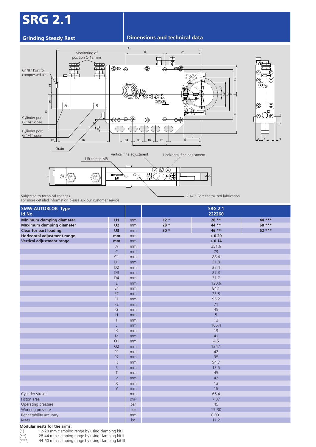# SRG 2.1

### **Grinding Steady Rest Dimensions and technical data**



| SMW<br>의<br>·의의비<br><u>AUTOBLOK</u><br><b>SRG</b><br>$\mathbf{P}$<br>B<br>A<br>$\circledcirc$<br>$\circledcirc$<br>$\mathscr{E}$<br>ၜ<br>D<br>피<br>됴<br>⊚Ü<br>$\circledcirc$<br>Cylinder port<br>$\bullet$<br>⊕<br>⊕<br>Φ⊕<br>⊕⊕<br>◉<br>G 1/4" close<br>ନ୍ଧୀ<br>Cylinder port<br>G 1/4" open<br>$\mathsf{V}$<br>O <sub>1</sub><br>O <sub>2</sub><br>D <sub>4</sub><br>D <sub>3</sub><br>D <sub>2</sub><br>D <sub>1</sub><br>$\mathtt{C}$<br>Drain<br>Vertical fine adjustment<br>Horizontal fine adjustment<br>Lift thread M8<br>[၀]<br>O)<br>$=\left(\frac{1}{2}\right)$<br>$\overline{\circ}_{\underline{\circledcirc}}$<br>$\begin{matrix} \text{Transport} \\ \text{M8} \end{matrix}$<br>( <io<br><math>\left  \times \right </math><br/><math>^{\circ}</math><br/>(C)<br/><math>\left( \oplus \right)</math><br/><math>\vdash</math><br/>- 11</io<br> |                          |                 |        |                                                       |         |  |  |  |
|-------------------------------------------------------------------------------------------------------------------------------------------------------------------------------------------------------------------------------------------------------------------------------------------------------------------------------------------------------------------------------------------------------------------------------------------------------------------------------------------------------------------------------------------------------------------------------------------------------------------------------------------------------------------------------------------------------------------------------------------------------------------------------------------------------------------------------------------------------------|--------------------------|-----------------|--------|-------------------------------------------------------|---------|--|--|--|
| Subjected to technical changes<br>For more detailed information please ask our customer service<br><b>SMW-AUTOBLOK Type</b>                                                                                                                                                                                                                                                                                                                                                                                                                                                                                                                                                                                                                                                                                                                                 |                          |                 |        | G 1/8" Port centralized lubrication<br><b>SRG 2.1</b> |         |  |  |  |
| Id.No.                                                                                                                                                                                                                                                                                                                                                                                                                                                                                                                                                                                                                                                                                                                                                                                                                                                      |                          |                 |        | 222260                                                |         |  |  |  |
| Minimum clamping diameter                                                                                                                                                                                                                                                                                                                                                                                                                                                                                                                                                                                                                                                                                                                                                                                                                                   | U <sub>1</sub>           | mm              | $12 *$ | $28**$                                                | 44 ***  |  |  |  |
| <b>Maximum clamping diameter</b>                                                                                                                                                                                                                                                                                                                                                                                                                                                                                                                                                                                                                                                                                                                                                                                                                            | U <sub>2</sub>           | mm              | 28 *   | 44 **                                                 | $60***$ |  |  |  |
| <b>Clear for part loading</b>                                                                                                                                                                                                                                                                                                                                                                                                                                                                                                                                                                                                                                                                                                                                                                                                                               | U3                       | mm              | $30 *$ | 46 **                                                 | $62***$ |  |  |  |
| Horizontal adjustment range                                                                                                                                                                                                                                                                                                                                                                                                                                                                                                                                                                                                                                                                                                                                                                                                                                 | mm                       | mm              |        | ± 0.20                                                |         |  |  |  |
| Vertical adjustment range                                                                                                                                                                                                                                                                                                                                                                                                                                                                                                                                                                                                                                                                                                                                                                                                                                   | mm                       | mm              |        | ± 0.14                                                |         |  |  |  |
|                                                                                                                                                                                                                                                                                                                                                                                                                                                                                                                                                                                                                                                                                                                                                                                                                                                             | $\overline{A}$           | mm              |        | 351.6                                                 |         |  |  |  |
|                                                                                                                                                                                                                                                                                                                                                                                                                                                                                                                                                                                                                                                                                                                                                                                                                                                             | $\mathsf{C}$             | mm              |        | 79                                                    |         |  |  |  |
|                                                                                                                                                                                                                                                                                                                                                                                                                                                                                                                                                                                                                                                                                                                                                                                                                                                             | C1                       | mm              |        | 88.4                                                  |         |  |  |  |
|                                                                                                                                                                                                                                                                                                                                                                                                                                                                                                                                                                                                                                                                                                                                                                                                                                                             | D <sub>1</sub>           | mm              |        | 31.8                                                  |         |  |  |  |
|                                                                                                                                                                                                                                                                                                                                                                                                                                                                                                                                                                                                                                                                                                                                                                                                                                                             | D <sub>2</sub>           | mm              |        | 27.4                                                  |         |  |  |  |
|                                                                                                                                                                                                                                                                                                                                                                                                                                                                                                                                                                                                                                                                                                                                                                                                                                                             | D <sub>3</sub>           | mm              |        | 27.3                                                  |         |  |  |  |
|                                                                                                                                                                                                                                                                                                                                                                                                                                                                                                                                                                                                                                                                                                                                                                                                                                                             | D <sub>4</sub>           | mm              |        | 31.7                                                  |         |  |  |  |
|                                                                                                                                                                                                                                                                                                                                                                                                                                                                                                                                                                                                                                                                                                                                                                                                                                                             | E                        | mm              |        | 120.6                                                 |         |  |  |  |
|                                                                                                                                                                                                                                                                                                                                                                                                                                                                                                                                                                                                                                                                                                                                                                                                                                                             | E <sub>1</sub>           | mm              |        | 84.1                                                  |         |  |  |  |
|                                                                                                                                                                                                                                                                                                                                                                                                                                                                                                                                                                                                                                                                                                                                                                                                                                                             | E <sub>2</sub>           | mm              |        | 23.8                                                  |         |  |  |  |
|                                                                                                                                                                                                                                                                                                                                                                                                                                                                                                                                                                                                                                                                                                                                                                                                                                                             | F <sub>1</sub>           | mm              |        | 95.2                                                  |         |  |  |  |
|                                                                                                                                                                                                                                                                                                                                                                                                                                                                                                                                                                                                                                                                                                                                                                                                                                                             | F <sub>2</sub>           | mm              |        | 71                                                    |         |  |  |  |
|                                                                                                                                                                                                                                                                                                                                                                                                                                                                                                                                                                                                                                                                                                                                                                                                                                                             | G<br>H                   | mm              |        | 45<br>$\overline{5}$                                  |         |  |  |  |
|                                                                                                                                                                                                                                                                                                                                                                                                                                                                                                                                                                                                                                                                                                                                                                                                                                                             | $\overline{\phantom{a}}$ | mm<br>mm        |        | 13                                                    |         |  |  |  |
|                                                                                                                                                                                                                                                                                                                                                                                                                                                                                                                                                                                                                                                                                                                                                                                                                                                             | J                        | $\mathsf{mm}$   |        | 166.4                                                 |         |  |  |  |
|                                                                                                                                                                                                                                                                                                                                                                                                                                                                                                                                                                                                                                                                                                                                                                                                                                                             | K                        | mm              |        | 19                                                    |         |  |  |  |
|                                                                                                                                                                                                                                                                                                                                                                                                                                                                                                                                                                                                                                                                                                                                                                                                                                                             | ${\sf M}$                | mm              |        | 41                                                    |         |  |  |  |
|                                                                                                                                                                                                                                                                                                                                                                                                                                                                                                                                                                                                                                                                                                                                                                                                                                                             | O <sub>1</sub>           | mm              |        | 4.5                                                   |         |  |  |  |
|                                                                                                                                                                                                                                                                                                                                                                                                                                                                                                                                                                                                                                                                                                                                                                                                                                                             | O <sub>2</sub>           | mm              |        | 124.1                                                 |         |  |  |  |
|                                                                                                                                                                                                                                                                                                                                                                                                                                                                                                                                                                                                                                                                                                                                                                                                                                                             | P1                       | mm              |        | 42                                                    |         |  |  |  |
|                                                                                                                                                                                                                                                                                                                                                                                                                                                                                                                                                                                                                                                                                                                                                                                                                                                             | P <sub>2</sub>           | mm              |        | 35                                                    |         |  |  |  |
|                                                                                                                                                                                                                                                                                                                                                                                                                                                                                                                                                                                                                                                                                                                                                                                                                                                             | ${\sf R}$                | mm              |        | 94.7                                                  |         |  |  |  |
|                                                                                                                                                                                                                                                                                                                                                                                                                                                                                                                                                                                                                                                                                                                                                                                                                                                             | $\mathsf S$              | mm              |        | 13.5                                                  |         |  |  |  |
|                                                                                                                                                                                                                                                                                                                                                                                                                                                                                                                                                                                                                                                                                                                                                                                                                                                             | Τ                        | mm              |        | 45                                                    |         |  |  |  |
|                                                                                                                                                                                                                                                                                                                                                                                                                                                                                                                                                                                                                                                                                                                                                                                                                                                             | $\vee$                   | mm              |        | 42                                                    |         |  |  |  |
|                                                                                                                                                                                                                                                                                                                                                                                                                                                                                                                                                                                                                                                                                                                                                                                                                                                             | $\mathsf X$              | mm              |        | 13                                                    |         |  |  |  |
|                                                                                                                                                                                                                                                                                                                                                                                                                                                                                                                                                                                                                                                                                                                                                                                                                                                             | Y                        | mm              |        | 19                                                    |         |  |  |  |
| Cylinder stroke                                                                                                                                                                                                                                                                                                                                                                                                                                                                                                                                                                                                                                                                                                                                                                                                                                             |                          | mm              |        | 66.4                                                  |         |  |  |  |
| Piston area                                                                                                                                                                                                                                                                                                                                                                                                                                                                                                                                                                                                                                                                                                                                                                                                                                                 |                          | cm <sup>2</sup> |        | 7,07                                                  |         |  |  |  |
| Operating pressure                                                                                                                                                                                                                                                                                                                                                                                                                                                                                                                                                                                                                                                                                                                                                                                                                                          |                          | bar             |        | 45                                                    |         |  |  |  |
| Working pressure                                                                                                                                                                                                                                                                                                                                                                                                                                                                                                                                                                                                                                                                                                                                                                                                                                            |                          | bar             |        | $15 - 30$                                             |         |  |  |  |
| Repeatability accuracy                                                                                                                                                                                                                                                                                                                                                                                                                                                                                                                                                                                                                                                                                                                                                                                                                                      |                          | mm              |        | 0.001                                                 |         |  |  |  |
| Mass                                                                                                                                                                                                                                                                                                                                                                                                                                                                                                                                                                                                                                                                                                                                                                                                                                                        |                          | kg              |        | 11.2                                                  |         |  |  |  |

12-28 mm clamping range by using clamping kit I

**Modular nests for the arms:**<br>(\*) 12-28 mm clamping<br>(\*\*) 28-44 mm clamping

(\*\*) 28-44 mm clamping range by using clamping kit II 44-60 mm clamping range by using clamping kit III